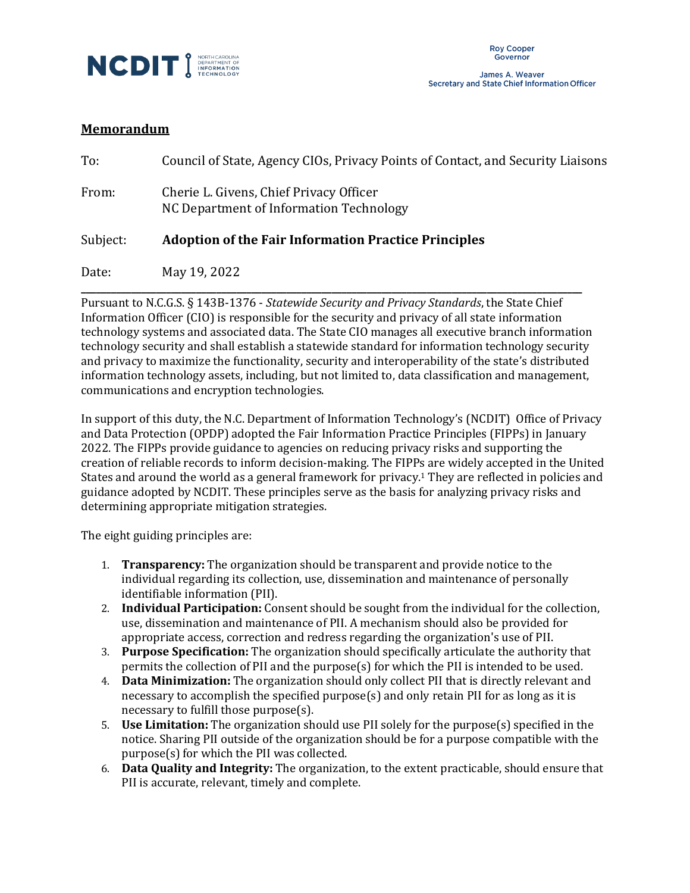

James A. Weaver Secretary and State Chief Information Officer

## **Memorandum**

| To:      | Council of State, Agency CIOs, Privacy Points of Contact, and Security Liaisons    |
|----------|------------------------------------------------------------------------------------|
| From:    | Cherie L. Givens, Chief Privacy Officer<br>NC Department of Information Technology |
| Subject: | <b>Adoption of the Fair Information Practice Principles</b>                        |
| Date:    | May 19, 2022                                                                       |

Pursuant to N.C.G.S. § 143B-1376 - *Statewide Security and Privacy Standards*, the State Chief Information Officer (CIO) is responsible for the security and privacy of all state information technology systems and associated data. The State CIO manages all executive branch information technology security and shall establish a statewide standard for information technology security and privacy to maximize the functionality, security and interoperability of the state's distributed information technology assets, including, but not limited to, data classification and management, communications and encryption technologies.

**\_\_\_\_\_\_\_\_\_\_\_\_\_\_\_\_\_\_\_\_\_\_\_\_\_\_\_\_\_\_\_\_\_\_\_\_\_\_\_\_\_\_\_\_\_\_\_\_\_\_\_\_\_\_\_\_\_\_\_\_\_\_\_\_\_\_\_\_\_\_\_\_\_\_\_\_\_\_\_\_\_\_\_\_\_\_\_\_\_\_\_\_\_\_\_\_\_\_\_\_**

In support of this duty, the N.C. Department of Information Technology's (NCDIT) Office of Privacy and Data Protection (OPDP) adopted the Fair Information Practice Principles (FIPPs) in January 2022. The FIPPs provide guidance to agencies on reducing privacy risks and supporting the creation of reliable records to inform decision-making. The FIPPs are widely accepted in the United States and around the world as a general framework for privacy.<sup>1</sup> They are reflected in policies and guidance adopted by NCDIT. These principles serve as the basis for analyzing privacy risks and determining appropriate mitigation strategies.

The eight guiding principles are:

- 1. **Transparency:** The organization should be transparent and provide notice to the individual regarding its collection, use, dissemination and maintenance of personally identifiable information (PII).
- 2. **Individual Participation:** Consent should be sought from the individual for the collection, use, dissemination and maintenance of PII. A mechanism should also be provided for appropriate access, correction and redress regarding the organization's use of PII.
- 3. **Purpose Specification:** The organization should specifically articulate the authority that permits the collection of PII and the purpose(s) for which the PII is intended to be used.
- 4. **Data Minimization:** The organization should only collect PII that is directly relevant and necessary to accomplish the specified purpose(s) and only retain PII for as long as it is necessary to fulfill those purpose(s).
- 5. **Use Limitation:** The organization should use PII solely for the purpose(s) specified in the notice. Sharing PII outside of the organization should be for a purpose compatible with the purpose(s) for which the PII was collected.
- 6. **Data Quality and Integrity:** The organization, to the extent practicable, should ensure that PII is accurate, relevant, timely and complete.